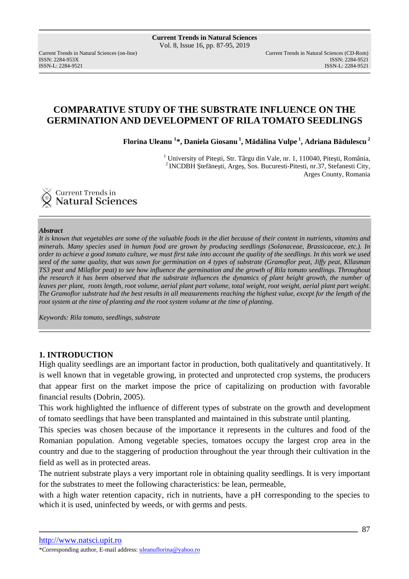ISSN: 2284-953XISSN: 2284-9521

Current Trends in Natural Sciences (on-line) Current Trends in Natural Sciences (CD-Rom) ISSN-L: 2284-9521

# **COMPARATIVE STUDY OF THE SUBSTRATE INFLUENCE ON THE GERMINATION AND DEVELOPMENT OF RILA TOMATO SEEDLINGS**

**Florina Uleanu <sup>1</sup> \*, Daniela Giosanu<sup>1</sup>, Mădălina Vulpe<sup>1</sup>, Adriana Bădulescu<sup>2</sup>**

<sup>1</sup> University of Pitești, Str. Târgu din Vale, nr. 1, 110040, Pitești, România, <sup>2</sup>INCDBH Ştefăneşti, Argeş, Sos. Bucuresti-Pitesti, nr.37, Stefanesti City, Arges County, Romania



### *Abstract*

*It is known that vegetables are some of the valuable foods in the diet because of their content in nutrients, vitamins and minerals. Many species used in human food are grown by producing seedlings (Solanaceae, Brassicaceae, etc.). In order to achieve a good tomato culture, we must first take into account the quality of the seedlings. In this work we used seed of the same quality, that was sown for germination on 4 types of substrate (Gramoflor peat, Jiffy peat, Kllasman TS3 peat and Milaflor peat) to see how influence the germination and the growth of Rila tomato seedlings. Throughout the research it has been observed that the substrate influences the dynamics of plant height growth, the number of leaves per plant, roots length, root volume, aerial plant part volume, total weight, root weight, aerial plant part weight. The Gramoflor substrate had the best results in all measurements reaching the highest value, except for the length of the root system at the time of planting and the root system volume at the time of planting.* 

*Keywords: Rila tomato, seedlings, substrate* 

### **1. INTRODUCTION**

High quality seedlings are an important factor in production, both qualitatively and quantitatively. It is well known that in vegetable growing, in protected and unprotected crop systems, the producers that appear first on the market impose the price of capitalizing on production with favorable financial results (Dobrin, 2005).

This work highlighted the influence of different types of substrate on the growth and development of tomato seedlings that have been transplanted and maintained in this substrate until planting.

This species was chosen because of the importance it represents in the cultures and food of the Romanian population. Among vegetable species, tomatoes occupy the largest crop area in the country and due to the staggering of production throughout the year through their cultivation in the field as well as in protected areas.

The nutrient substrate plays a very important role in obtaining quality seedlings. It is very important for the substrates to meet the following characteristics: be lean, permeable,

with a high water retention capacity, rich in nutrients, have a pH corresponding to the species to which it is used, uninfected by weeds, or with germs and pests.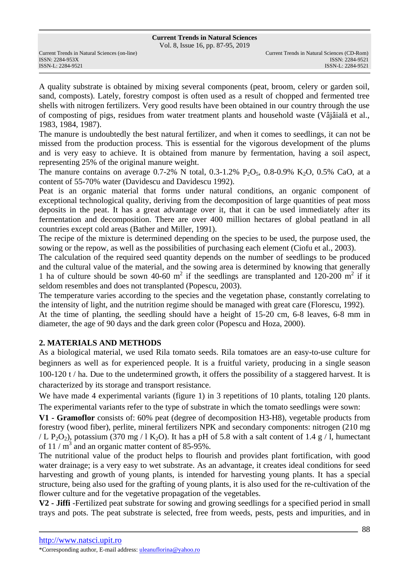Vol. 8, Issue 16, pp. 87-95, 2019

ISSN: 2284-953XISSN: 2284-9521

A quality substrate is obtained by mixing several components (peat, broom, celery or garden soil, sand, composts). Lately, forestry compost is often used as a result of chopped and fermented tree shells with nitrogen fertilizers. Very good results have been obtained in our country through the use of composting of pigs, residues from water treatment plants and household waste (Vâjâială et al., 1983, 1984, 1987).

The manure is undoubtedly the best natural fertilizer, and when it comes to seedlings, it can not be missed from the production process. This is essential for the vigorous development of the plums and is very easy to achieve. It is obtained from manure by fermentation, having a soil aspect, representing 25% of the original manure weight.

The manure contains on average 0.7-2% N total, 0.3-1.2% P<sub>2</sub>O<sub>5</sub>, 0.8-0.9% K<sub>2</sub>O, 0.5% CaO, at a content of 55-70% water (Davidescu and Davidescu 1992).

Peat is an organic material that forms under natural conditions, an organic component of exceptional technological quality, deriving from the decomposition of large quantities of peat moss deposits in the peat. It has a great advantage over it, that it can be used immediately after its fermentation and decomposition. There are over 400 million hectares of global peatland in all countries except cold areas (Bather and Miller, 1991).

The recipe of the mixture is determined depending on the species to be used, the purpose used, the sowing or the repow, as well as the possibilities of purchasing each element (Ciofu et al., 2003).

The calculation of the required seed quantity depends on the number of seedlings to be produced and the cultural value of the material, and the sowing area is determined by knowing that generally 1 ha of culture should be sown 40-60  $m^2$  if the seedlings are transplanted and 120-200  $m^2$  if it seldom resembles and does not transplanted (Popescu, 2003).

The temperature varies according to the species and the vegetation phase, constantly correlating to the intensity of light, and the nutrition regime should be managed with great care (Florescu, 1992).

At the time of planting, the seedling should have a height of 15-20 cm, 6-8 leaves, 6-8 mm in diameter, the age of 90 days and the dark green color (Popescu and Hoza, 2000).

### **2. MATERIALS AND METHODS**

As a biological material, we used Rila tomato seeds. Rila tomatoes are an easy-to-use culture for beginners as well as for experienced people. It is a fruitful variety, producing in a single season 100-120 t / ha. Due to the undetermined growth, it offers the possibility of a staggered harvest. It is characterized by its storage and transport resistance.

We have made 4 experimental variants (figure 1) in 3 repetitions of 10 plants, totaling 120 plants. The experimental variants refer to the type of substrate in which the tomato seedlings were sown:

**V1 - Gramoflor** consists of: 60% peat (degree of decomposition H3-H8), vegetable products from forestry (wood fiber), perlite, mineral fertilizers NPK and secondary components: nitrogen (210 mg / L P<sub>2</sub>O<sub>2</sub>), potassium (370 mg / l K<sub>2</sub>O). It has a pH of 5.8 with a salt content of 1.4 g / l, humectant of 11 /  $m^3$  and an organic matter content of 85-95%.

The nutritional value of the product helps to flourish and provides plant fortification, with good water drainage; is a very easy to wet substrate. As an advantage, it creates ideal conditions for seed harvesting and growth of young plants, is intended for harvesting young plants. It has a special structure, being also used for the grafting of young plants, it is also used for the re-cultivation of the flower culture and for the vegetative propagation of the vegetables.

**V2 - Jiffi** -Fertilized peat substrate for sowing and growing seedlings for a specified period in small trays and pots. The peat substrate is selected, free from weeds, pests, pests and impurities, and in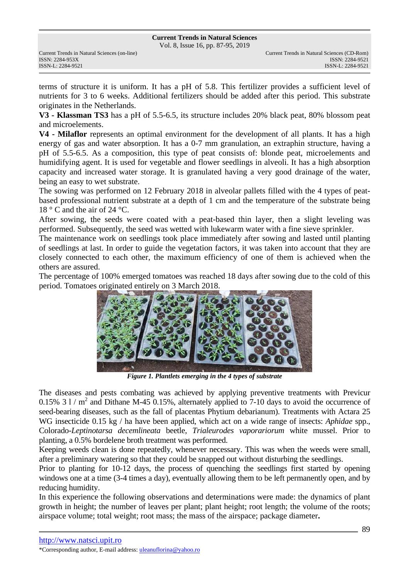Vol. 8, Issue 16, pp. 87-95, 2019

terms of structure it is uniform. It has a pH of 5.8. This fertilizer provides a sufficient level of nutrients for 3 to 6 weeks. Additional fertilizers should be added after this period. This substrate originates in the Netherlands.

**V3 - Klassman TS3** has a pH of 5.5-6.5, its structure includes 20% black peat, 80% blossom peat and microelements.

**V4 - Milaflor** represents an optimal environment for the development of all plants. It has a high energy of gas and water absorption. It has a 0-7 mm granulation, an extraphin structure, having a pH of 5.5-6.5. As a composition, this type of peat consists of: blonde peat, microelements and humidifying agent. It is used for vegetable and flower seedlings in alveoli. It has a high absorption capacity and increased water storage. It is granulated having a very good drainage of the water, being an easy to wet substrate.

The sowing was performed on 12 February 2018 in alveolar pallets filled with the 4 types of peatbased professional nutrient substrate at a depth of 1 cm and the temperature of the substrate being 18 ° C and the air of 24 °C.

After sowing, the seeds were coated with a peat-based thin layer, then a slight leveling was performed. Subsequently, the seed was wetted with lukewarm water with a fine sieve sprinkler.

The maintenance work on seedlings took place immediately after sowing and lasted until planting of seedlings at last. In order to guide the vegetation factors, it was taken into account that they are closely connected to each other, the maximum efficiency of one of them is achieved when the others are assured.

The percentage of 100% emerged tomatoes was reached 18 days after sowing due to the cold of this period. Tomatoes originated entirely on 3 March 2018.



*Figure 1. Plantlets emerging in the 4 types of substrate* 

The diseases and pests combating was achieved by applying preventive treatments with Previcur  $0.15\%$  3 l / m<sup>2</sup> and Dithane M-45  $0.15\%$ , alternately applied to 7-10 days to avoid the occurrence of seed-bearing diseases, such as the fall of placentas Phytium debarianum). Treatments with Actara 25 WG insecticide 0.15 kg / ha have been applied, which act on a wide range of insects: *Aphidae* spp., Colorado-*Leptinotarsa decemlineata* beetle, *Trialeurodes vaporariorum* white mussel. Prior to planting, a 0.5% bordelene broth treatment was performed.

Keeping weeds clean is done repeatedly, whenever necessary. This was when the weeds were small, after a preliminary watering so that they could be snapped out without disturbing the seedlings.

Prior to planting for 10-12 days, the process of quenching the seedlings first started by opening windows one at a time (3-4 times a day), eventually allowing them to be left permanently open, and by reducing humidity.

In this experience the following observations and determinations were made: the dynamics of plant growth in height; the number of leaves per plant; plant height; root length; the volume of the roots; airspace volume; total weight; root mass; the mass of the airspace; package diameter**.**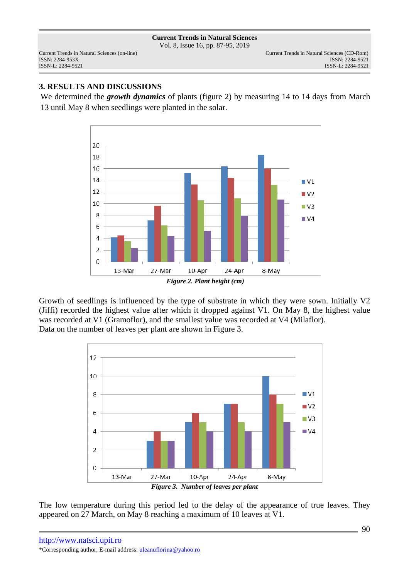Vol. 8, Issue 16, pp. 87-95, 2019

ISSN: 2284-953XISSN: 2284-9521

## **3. RESULTS AND DISCUSSIONS**

We determined the *growth dynamics* of plants (figure 2) by measuring 14 to 14 days from March 13 until May 8 when seedlings were planted in the solar.



Growth of seedlings is influenced by the type of substrate in which they were sown. Initially V2 (Jiffi) recorded the highest value after which it dropped against V1. On May 8, the highest value was recorded at V1 (Gramoflor), and the smallest value was recorded at V4 (Milaflor). Data on the number of leaves per plant are shown in Figure 3.



The low temperature during this period led to the delay of the appearance of true leaves. They appeared on 27 March, on May 8 reaching a maximum of 10 leaves at V1.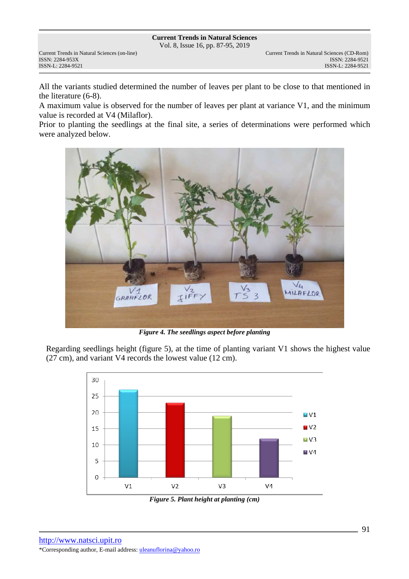Vol. 8, Issue 16, pp. 87-95, 2019

ISSN: 2284-953XISSN: 2284-9521

All the variants studied determined the number of leaves per plant to be close to that mentioned in the literature (6-8).

A maximum value is observed for the number of leaves per plant at variance V1, and the minimum value is recorded at V4 (Milaflor).

Prior to planting the seedlings at the final site, a series of determinations were performed which were analyzed below.



*Figure 4. The seedlings aspect before planting* 

Regarding seedlings height (figure 5), at the time of planting variant V1 shows the highest value (27 cm), and variant V4 records the lowest value (12 cm).



*Figure 5. Plant height at planting (cm)*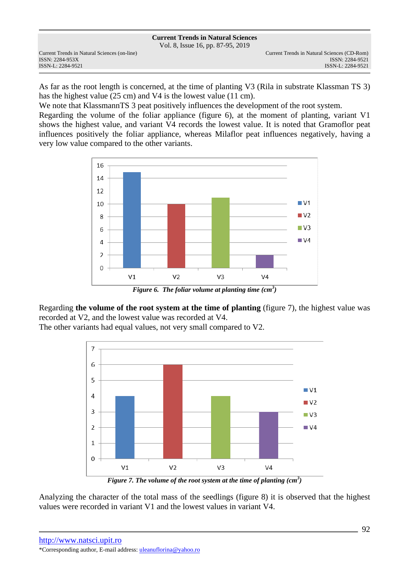Vol. 8, Issue 16, pp. 87-95, 2019

Current Trends in Natural Sciences (on-line) Current Trends in Natural Sciences (CD-Rom) ISSN: 2284-953XISSN: 2284-9521

As far as the root length is concerned, at the time of planting V3 (Rila in substrate Klassman TS 3) has the highest value (25 cm) and V4 is the lowest value (11 cm).

We note that KlassmannTS 3 peat positively influences the development of the root system. Regarding the volume of the foliar appliance (figure 6), at the moment of planting, variant V1 shows the highest value, and variant V4 records the lowest value. It is noted that Gramoflor peat influences positively the foliar appliance, whereas Milaflor peat influences negatively, having a very low value compared to the other variants.



*Figure 6. The foliar volume at planting time (cm<sup>3</sup> )* 

Regarding **the volume of the root system at the time of planting** (figure 7), the highest value was recorded at V2, and the lowest value was recorded at V4.

The other variants had equal values, not very small compared to V2.



*Figure 7. The volume of the root system at the time of planting (cm<sup>3</sup> )* 

Analyzing the character of the total mass of the seedlings (figure 8) it is observed that the highest values were recorded in variant V1 and the lowest values in variant V4.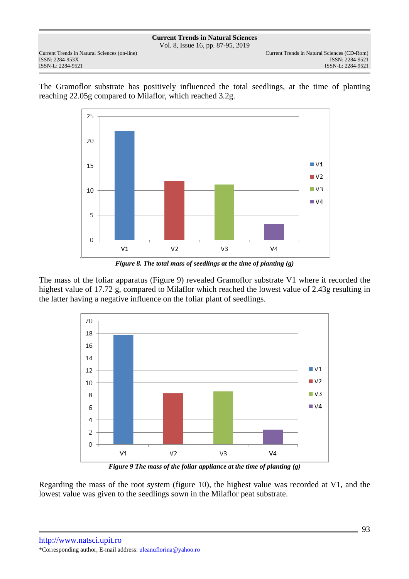**Current Trends in Natural Sciences** Vol. 8, Issue 16, pp. 87-95, 2019

ISSN: 2284-953XISSN: 2284-9521

.

The Gramoflor substrate has positively influenced the total seedlings, at the time of planting reaching 22.05g compared to Milaflor, which reached 3.2g.



*Figure 8. The total mass of seedlings at the time of planting (g)* 

The mass of the foliar apparatus (Figure 9) revealed Gramoflor substrate V1 where it recorded the highest value of 17.72 g, compared to Milaflor which reached the lowest value of 2.43g resulting in the latter having a negative influence on the foliar plant of seedlings.



*Figure 9 The mass of the foliar appliance at the time of planting (g)* 

Regarding the mass of the root system (figure 10), the highest value was recorded at V1, and the lowest value was given to the seedlings sown in the Milaflor peat substrate.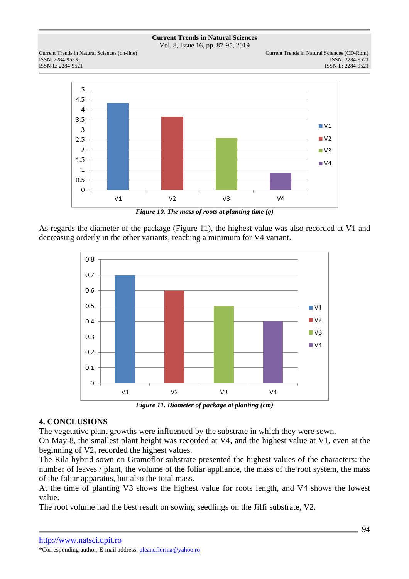Vol. 8, Issue 16, pp. 87-95, 2019

ISSN: 2284-953XISSN: 2284-9521





*Figure 10. The mass of roots at planting time (g)* 

As regards the diameter of the package (Figure 11), the highest value was also recorded at V1 and decreasing orderly in the other variants, reaching a minimum for V4 variant.



*Figure 11. Diameter of package at planting (cm)* 

## **4. CONCLUSIONS**

The vegetative plant growths were influenced by the substrate in which they were sown.

On May 8, the smallest plant height was recorded at V4, and the highest value at V1, even at the beginning of V2, recorded the highest values.

The Rila hybrid sown on Gramoflor substrate presented the highest values of the characters: the number of leaves / plant, the volume of the foliar appliance, the mass of the root system, the mass of the foliar apparatus, but also the total mass.

At the time of planting V3 shows the highest value for roots length, and V4 shows the lowest value.

The root volume had the best result on sowing seedlings on the Jiffi substrate, V2.